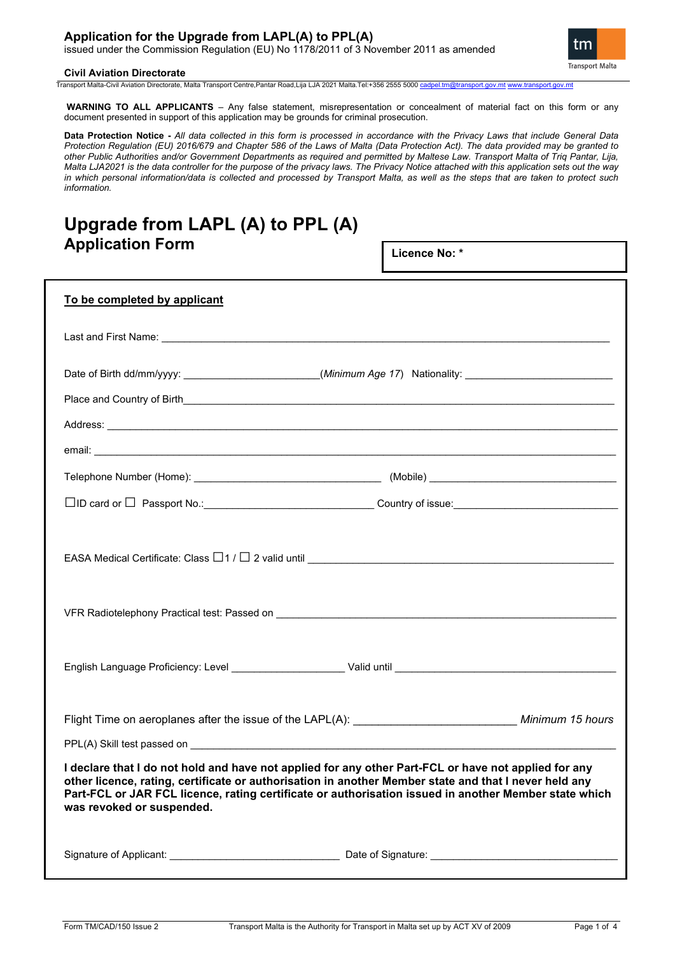## **Application for the Upgrade from LAPL(A) to PPL(A)**

issued under the Commission Regulation (EU) No 1178/2011 of 3 November 2011 as amended

#### **Civil Aviation Directorate**

tm **Transport Malta** 

Transport Malta-Civil Aviation Directorate, Malta Transport Centre,Pantar Road,Lija LJA 2021 Malta.Tel:+356 2555 5000 ca

**WARNING TO ALL APPLICANTS** – Any false statement, misrepresentation or concealment of material fact on this form or any document presented in support of this application may be grounds for criminal prosecution.

**Data Protection Notice -** *All data collected in this form is processed in accordance with the Privacy Laws that include General Data Protection Regulation (EU) 2016/679 and Chapter 586 of the Laws of Malta (Data Protection Act). The data provided may be granted to other Public Authorities and/or Government Departments as required and permitted by Maltese Law. Transport Malta of Triq Pantar, Lija, Malta LJA2021 is the data controller for the purpose of the privacy laws. The Privacy Notice attached with this application sets out the way in which personal information/data is collected and processed by Transport Malta, as well as the steps that are taken to protect such information.*

# **Upgrade from LAPL (A) to PPL (A) Application Form**

**Licence No: \***

| To be completed by applicant                                                                                                                                                                                                                                                                                                                        |  |  |  |
|-----------------------------------------------------------------------------------------------------------------------------------------------------------------------------------------------------------------------------------------------------------------------------------------------------------------------------------------------------|--|--|--|
|                                                                                                                                                                                                                                                                                                                                                     |  |  |  |
| Date of Birth dd/mm/yyyy: __________________________(Minimum Age 17) Nationality: ____________________________                                                                                                                                                                                                                                      |  |  |  |
|                                                                                                                                                                                                                                                                                                                                                     |  |  |  |
|                                                                                                                                                                                                                                                                                                                                                     |  |  |  |
|                                                                                                                                                                                                                                                                                                                                                     |  |  |  |
|                                                                                                                                                                                                                                                                                                                                                     |  |  |  |
|                                                                                                                                                                                                                                                                                                                                                     |  |  |  |
| EASA Medical Certificate: Class $\Box$ 1 / $\Box$ 2 valid until $\_\_\_\_\_\_\_\_\_$                                                                                                                                                                                                                                                                |  |  |  |
|                                                                                                                                                                                                                                                                                                                                                     |  |  |  |
| Flight Time on aeroplanes after the issue of the LAPL(A): __________________________________ Minimum 15 hours                                                                                                                                                                                                                                       |  |  |  |
|                                                                                                                                                                                                                                                                                                                                                     |  |  |  |
| I declare that I do not hold and have not applied for any other Part-FCL or have not applied for any<br>other licence, rating, certificate or authorisation in another Member state and that I never held any<br>Part-FCL or JAR FCL licence, rating certificate or authorisation issued in another Member state which<br>was revoked or suspended. |  |  |  |
|                                                                                                                                                                                                                                                                                                                                                     |  |  |  |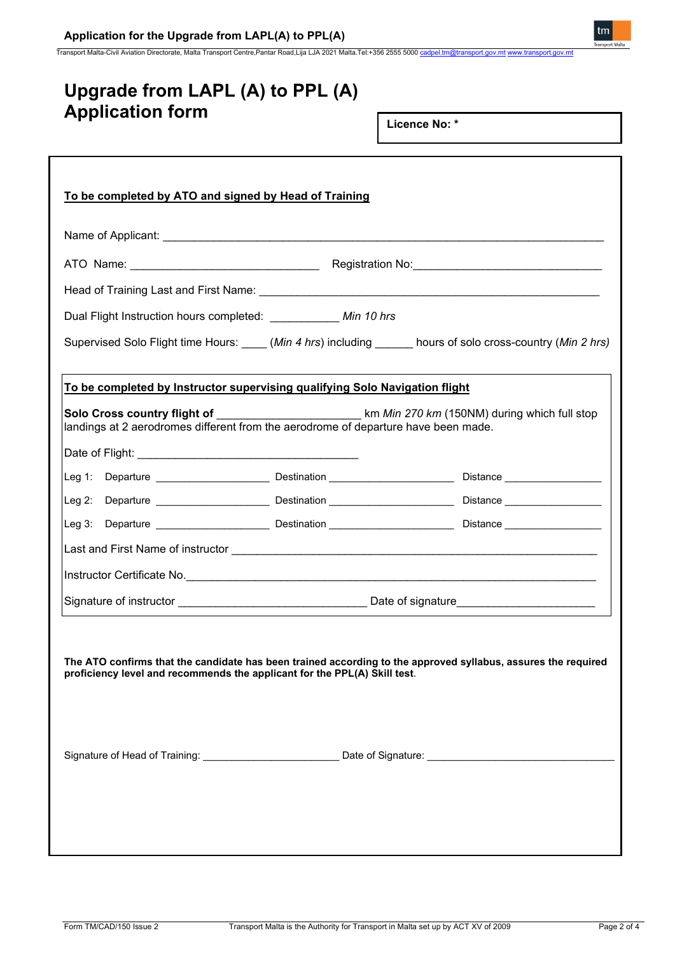## **Application for the Upgrade from LAPL(A) to PPL(A)**

Transport Malta-Civil Aviation Directorate, Malta Transport Centre,Pantar Road,Lija LJA 2021 Malta.Tel:+356 2555 5000 [cadpel.tm@transport.gov.mt](mailto:cadpel.tm@transport.gov.mt) [www.transport.gov.mt](http://www.transport.gov.mt/)

| Upgrade from LAPL (A) to PPL (A)                                                                                                                                                           |                                                     |
|--------------------------------------------------------------------------------------------------------------------------------------------------------------------------------------------|-----------------------------------------------------|
| <b>Application form</b>                                                                                                                                                                    | Licence No: *                                       |
|                                                                                                                                                                                            |                                                     |
| To be completed by ATO and signed by Head of Training                                                                                                                                      |                                                     |
|                                                                                                                                                                                            |                                                     |
|                                                                                                                                                                                            |                                                     |
|                                                                                                                                                                                            |                                                     |
| Dual Flight Instruction hours completed: ___________ Min 10 hrs                                                                                                                            |                                                     |
| Supervised Solo Flight time Hours: _____ (Min 4 hrs) including _______ hours of solo cross-country (Min 2 hrs)                                                                             |                                                     |
| To be completed by Instructor supervising qualifying Solo Navigation flight                                                                                                                |                                                     |
| Solo Cross country flight of<br>landings at 2 aerodromes different from the aerodrome of departure have been made.                                                                         | km <i>Min 270 km</i> (150NM) during which full stop |
|                                                                                                                                                                                            |                                                     |
|                                                                                                                                                                                            |                                                     |
|                                                                                                                                                                                            |                                                     |
| Leg 3: Departure <b>Contract Destination</b> Destination <b>Contract Destination</b> Distance <b>Contract Distance</b>                                                                     |                                                     |
|                                                                                                                                                                                            |                                                     |
| Instructor Certificate No.                                                                                                                                                                 |                                                     |
|                                                                                                                                                                                            | <u> 1989 - Johann Barbara, martxa alemaniar a</u>   |
| The ATO confirms that the candidate has been trained according to the approved syllabus, assures the required<br>proficiency level and recommends the applicant for the PPL(A) Skill test. |                                                     |
|                                                                                                                                                                                            |                                                     |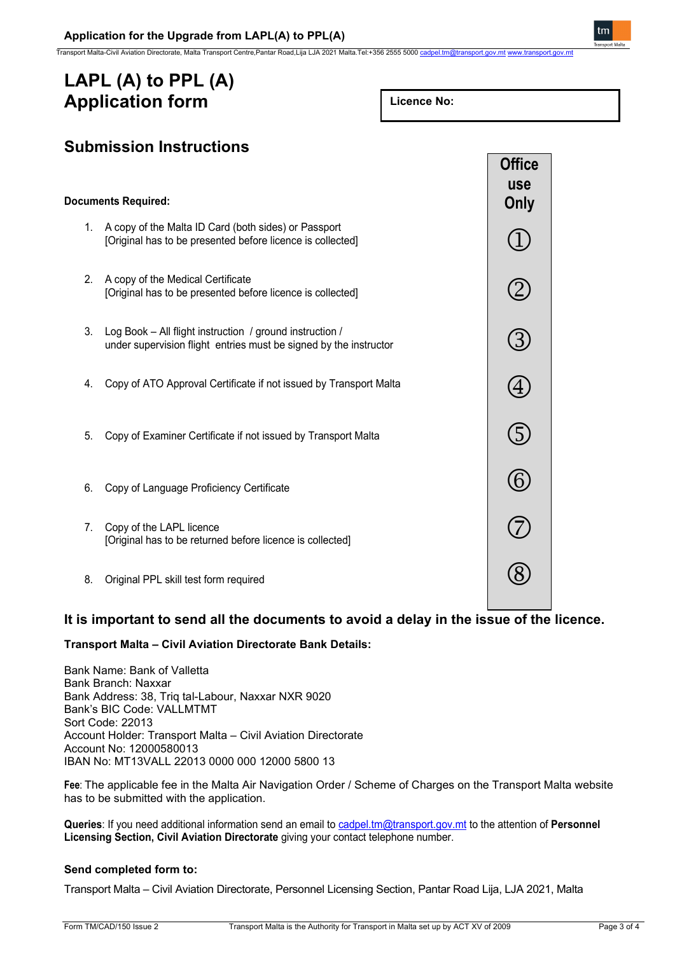Transport Malta-Civil Aviation Directorate, Malta Transport Centre,Pantar Road,Lija LJA 2021 Malta.Tel:+356 2555 5000 cadp

# **LAPL (A) to PPL (A) Application form**

| Licence No: |  |
|-------------|--|
|-------------|--|



## **It is important to send all the documents to avoid a delay in the issue of the licence.**

### **Transport Malta – Civil Aviation Directorate Bank Details:**

Bank Name: Bank of Valletta Bank Branch: Naxxar Bank Address: 38, Triq tal-Labour, Naxxar NXR 9020 Bank's BIC Code: VALLMTMT Sort Code: 22013 Account Holder: Transport Malta – Civil Aviation Directorate Account No: 12000580013 IBAN No: MT13VALL 22013 0000 000 12000 5800 13

**Fee**: The applicable fee in the Malta Air Navigation Order / Scheme of Charges on the Transport Malta website has to be submitted with the application.

**Queries**: If you need additional information send an email t[o cadpel.tm@transport.gov.mt](mailto:cadpel.tm@transport.gov.mt) to the attention of **Personnel Licensing Section, Civil Aviation Directorate** giving your contact telephone number.

### **Send completed form to:**

Transport Malta – Civil Aviation Directorate, Personnel Licensing Section, Pantar Road Lija, LJA 2021, Malta